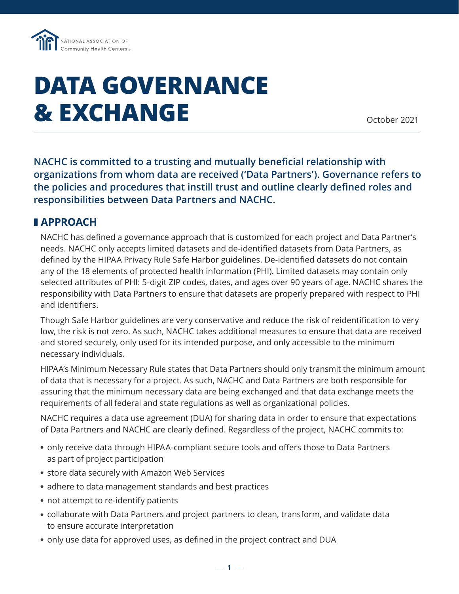

## **DATA GOVERNANCE & EXCHANGE**

October 2021

**NACHC is committed to a trusting and mutually beneficial relationship with organizations from whom data are received ('Data Partners'). Governance refers to the policies and procedures that instill trust and outline clearly defined roles and responsibilities between Data Partners and NACHC.** 

## ❚ **APPROACH**

NACHC has defined a governance approach that is customized for each project and Data Partner's needs. NACHC only accepts limited datasets and de-identified datasets from Data Partners, as defined by the HIPAA Privacy Rule Safe Harbor guidelines. De-identified datasets do not contain any of the 18 elements of protected health information (PHI). Limited datasets may contain only selected attributes of PHI: 5-digit ZIP codes, dates, and ages over 90 years of age. NACHC shares the responsibility with Data Partners to ensure that datasets are properly prepared with respect to PHI and identifiers.

Though Safe Harbor guidelines are very conservative and reduce the risk of reidentification to very low, the risk is not zero. As such, NACHC takes additional measures to ensure that data are received and stored securely, only used for its intended purpose, and only accessible to the minimum necessary individuals.

HIPAA's Minimum Necessary Rule states that Data Partners should only transmit the minimum amount of data that is necessary for a project. As such, NACHC and Data Partners are both responsible for assuring that the minimum necessary data are being exchanged and that data exchange meets the requirements of all federal and state regulations as well as organizational policies.

NACHC requires a data use agreement (DUA) for sharing data in order to ensure that expectations of Data Partners and NACHC are clearly defined. Regardless of the project, NACHC commits to:

- only receive data through HIPAA-compliant secure tools and offers those to Data Partners as part of project participation
- store data securely with Amazon Web Services
- adhere to data management standards and best practices
- not attempt to re-identify patients
- collaborate with Data Partners and project partners to clean, transform, and validate data to ensure accurate interpretation
- only use data for approved uses, as defined in the project contract and DUA